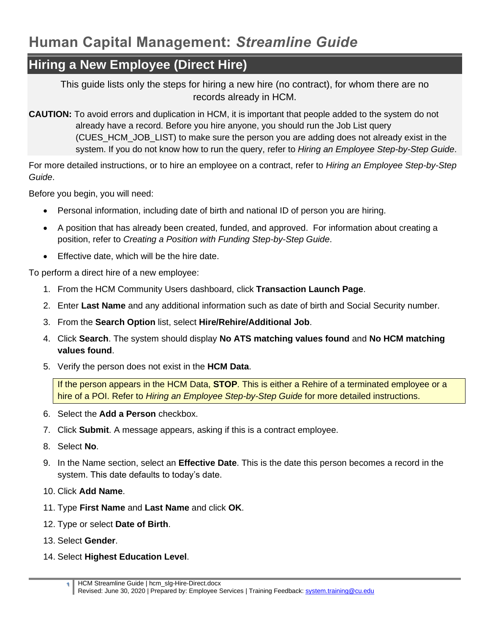## **Hiring a New Employee (Direct Hire)**

This guide lists only the steps for hiring a new hire (no contract), for whom there are no records already in HCM.

**CAUTION:** To avoid errors and duplication in HCM, it is important that people added to the system do not already have a record. Before you hire anyone, you should run the Job List query (CUES\_HCM\_JOB\_LIST) to make sure the person you are adding does not already exist in the system. If you do not know how to run the query, refer to *Hiring an Employee Step-by-Step Guide*.

For more detailed instructions, or to hire an employee on a contract, refer to *Hiring an Employee Step-by-Step Guide*.

Before you begin, you will need:

- Personal information, including date of birth and national ID of person you are hiring.
- A position that has already been created, funded, and approved. For information about creating a position, refer to *Creating a Position with Funding Step-by-Step Guide*.
- Effective date, which will be the hire date.

To perform a direct hire of a new employee:

- 1. From the HCM Community Users dashboard, click **Transaction Launch Page**.
- 2. Enter **Last Name** and any additional information such as date of birth and Social Security number.
- 3. From the **Search Option** list, select **Hire/Rehire/Additional Job**.
- 4. Click **Search**. The system should display **No ATS matching values found** and **No HCM matching values found**.
- 5. Verify the person does not exist in the **HCM Data**.

If the person appears in the HCM Data, **STOP**. This is either a Rehire of a terminated employee or a hire of a POI. Refer to *Hiring an Employee Step-by-Step Guide* for more detailed instructions.

- 6. Select the **Add a Person** checkbox.
- 7. Click **Submit**. A message appears, asking if this is a contract employee.
- 8. Select **No**.
- 9. In the Name section, select an **Effective Date**. This is the date this person becomes a record in the system. This date defaults to today's date.
- 10. Click **Add Name**.
- 11. Type **First Name** and **Last Name** and click **OK**.
- 12. Type or select **Date of Birth**.
- 13. Select **Gender**.
- 14. Select **Highest Education Level**.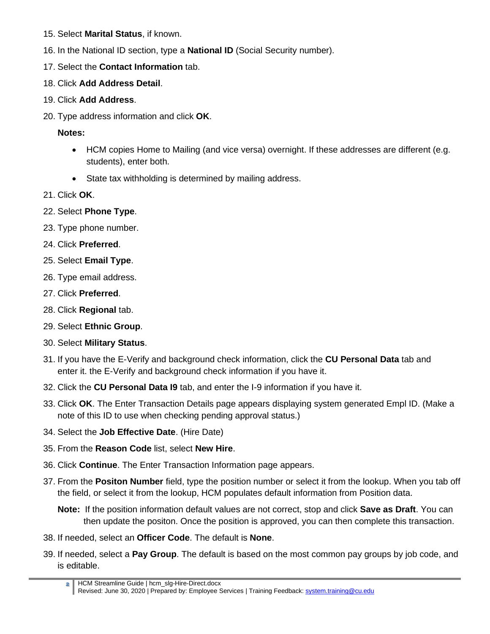- 15. Select **Marital Status**, if known.
- 16. In the National ID section, type a **National ID** (Social Security number).
- 17. Select the **Contact Information** tab.
- 18. Click **Add Address Detail**.
- 19. Click **Add Address**.
- 20. Type address information and click **OK**.

**Notes:** 

- HCM copies Home to Mailing (and vice versa) overnight. If these addresses are different (e.g. students), enter both.
- State tax withholding is determined by mailing address.
- 21. Click **OK**.
- 22. Select **Phone Type**.
- 23. Type phone number.
- 24. Click **Preferred**.
- 25. Select **Email Type**.
- 26. Type email address.
- 27. Click **Preferred**.
- 28. Click **Regional** tab.
- 29. Select **Ethnic Group**.
- 30. Select **Military Status**.
- 31. If you have the E-Verify and background check information, click the **CU Personal Data** tab and enter it. the E-Verify and background check information if you have it.
- 32. Click the **CU Personal Data I9** tab, and enter the I-9 information if you have it.
- 33. Click **OK**. The Enter Transaction Details page appears displaying system generated Empl ID. (Make a note of this ID to use when checking pending approval status.)
- 34. Select the **Job Effective Date**. (Hire Date)
- 35. From the **Reason Code** list, select **New Hire**.
- 36. Click **Continue**. The Enter Transaction Information page appears.
- 37. From the **Positon Number** field, type the position number or select it from the lookup. When you tab off the field, or select it from the lookup, HCM populates default information from Position data.

**Note:** If the position information default values are not correct, stop and click **Save as Draft**. You can then update the positon. Once the position is approved, you can then complete this transaction.

- 38. If needed, select an **Officer Code**. The default is **None**.
- 39. If needed, select a **Pay Group**. The default is based on the most common pay groups by job code, and is editable.